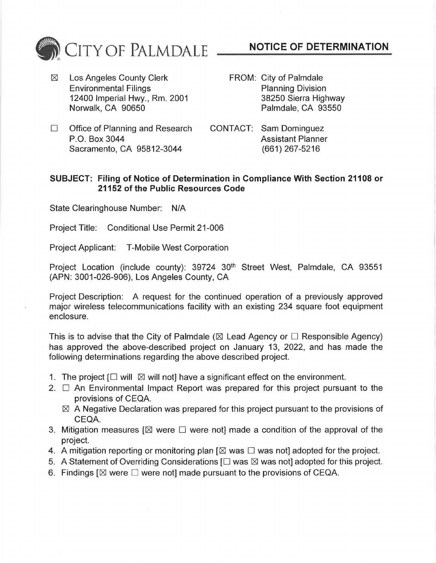

 $\boxtimes$  Los Angeles County Clerk Environmental Filings 12400 Imperial Hwy., Rm. 2001 Norwalk, CA 90650

- **NOTICE OF DETERMINATION**
- FROM: City of Palmdale Planning Division 38250 Sierra Highway Palmdale, CA 93550
- $\Box$  Office of Planning and Research P.O. Box 3044 Sacramento, CA 95812-3044

CONTACT: Sam Dominguez Assistant Planner (661) 267-5216

## **SUBJECT: Filing of Notice of Determination in Compliance With Section 21108 or 21152 of the Public Resources Code**

State Clearinghouse Number: N/A

Project Title: Conditional Use Permit 21-006

Project Applicant: T-Mobile West Corporation

Project Location (include county): 39724 30<sup>th</sup> Street West, Palmdale, CA 93551 (APN: 3001-026-906), Los Angeles County, CA

Project Description: A request for the continued operation of a previously approved major wireless telecommunications facility with an existing 234 square foot equipment enclosure.

This is to advise that the City of Palmdale ( $\boxtimes$  Lead Agency or  $\Box$  Responsible Agency) has approved the above-described project on January 13, 2022, and has made the following determinations regarding the above described project.

- 1. The project  $[\Box \text{ will } \boxtimes \text{ will not}]$  have a significant effect on the environment.
- 2.  $\Box$  An Environmental Impact Report was prepared for this project pursuant to the provisions of CEQA.
	- $\boxtimes$  A Negative Declaration was prepared for this project pursuant to the provisions of CEQA.
- 3. Mitigation measures  $[\boxtimes]$  were  $\square$  were not] made a condition of the approval of the project.
- 4. A mitigation reporting or monitoring plan  $[\boxtimes$  was  $\square$  was not] adopted for the project.
- 5. A Statement of Overriding Considerations  $[\Box$  was  $\boxtimes$  was not] adopted for this project.
- 6. Findings  $[ $\boxtimes$  were  $\square$  were not] made pursuit to the provisions of CEQA.$